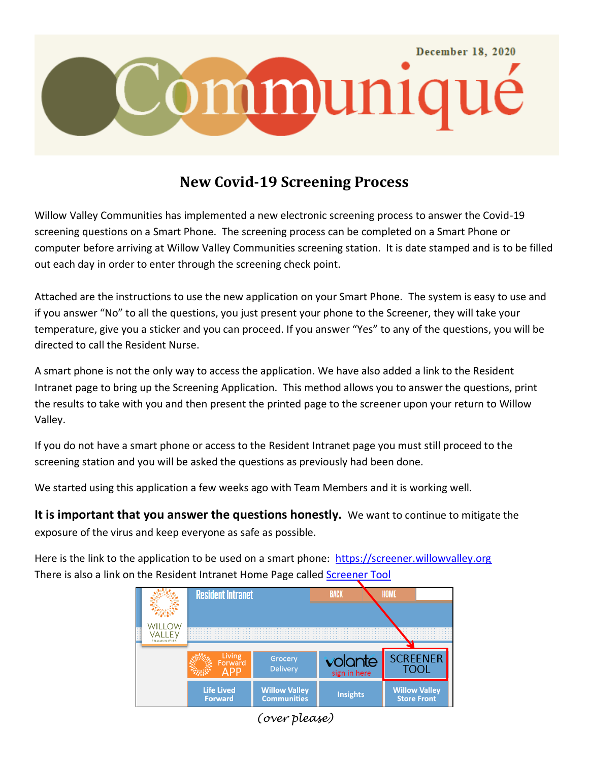

## **New Covid-19 Screening Process**

Willow Valley Communities has implemented a new electronic screening process to answer the Covid-19 screening questions on a Smart Phone. The screening process can be completed on a Smart Phone or computer before arriving at Willow Valley Communities screening station. It is date stamped and is to be filled out each day in order to enter through the screening check point.

Attached are the instructions to use the new application on your Smart Phone. The system is easy to use and if you answer "No" to all the questions, you just present your phone to the Screener, they will take your temperature, give you a sticker and you can proceed. If you answer "Yes" to any of the questions, you will be directed to call the Resident Nurse.

A smart phone is not the only way to access the application. We have also added a link to the Resident Intranet page to bring up the Screening Application. This method allows you to answer the questions, print the results to take with you and then present the printed page to the screener upon your return to Willow Valley.

If you do not have a smart phone or access to the Resident Intranet page you must still proceed to the screening station and you will be asked the questions as previously had been done.

We started using this application a few weeks ago with Team Members and it is working well.

**It is important that you answer the questions honestly.** We want to continue to mitigate the exposure of the virus and keep everyone as safe as possible.

Here is the link to the application to be used on a smart phone: [https://screener.willowvalley.org](https://screener.willowvalley.org/) There is also a link on the Resident Intranet Home Page called Screener Tool



*(over please)*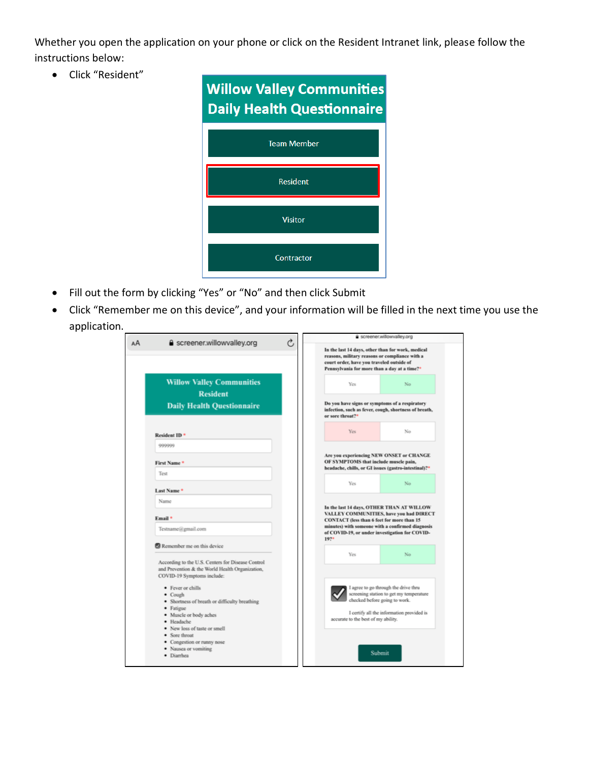Whether you open the application on your phone or click on the Resident Intranet link, please follow the instructions below:

• Click "Resident"



- Fill out the form by clicking "Yes" or "No" and then click Submit
- Click "Remember me on this device", and your information will be filled in the next time you use the application.

| AA | <b>△</b> screener.willowvalley.org                                                                                                                                                                                                                                       | Ò | a screener.willowvalley.org                                                                                                                                                                                       |
|----|--------------------------------------------------------------------------------------------------------------------------------------------------------------------------------------------------------------------------------------------------------------------------|---|-------------------------------------------------------------------------------------------------------------------------------------------------------------------------------------------------------------------|
|    |                                                                                                                                                                                                                                                                          |   | In the last 14 days, other than for work, medical<br>reasons, military reasons or compliance with a<br>court order, have you traveled outside of<br>Pennsylvania for more than a day at a time?*                  |
|    | <b>Willow Valley Communities</b><br><b>Resident</b>                                                                                                                                                                                                                      |   | Yes<br>No                                                                                                                                                                                                         |
|    | <b>Daily Health Questionnaire</b>                                                                                                                                                                                                                                        |   | Do you have signs or symptoms of a respiratory<br>infection, such as fever, cough, shortness of breath,<br>or sore throat? <sup>*</sup>                                                                           |
|    | Resident ID <sup>*</sup>                                                                                                                                                                                                                                                 |   | Yes<br>No                                                                                                                                                                                                         |
|    | 999999<br>First Name*                                                                                                                                                                                                                                                    |   | Are you experiencing NEW ONSET or CHANGE<br>OF SYMPTOMS that include muscle pain,<br>headache, chills, or GI issues (gastro-intestinal)?*                                                                         |
|    | Test                                                                                                                                                                                                                                                                     |   | Yes<br>No                                                                                                                                                                                                         |
|    | Last Name <sup>*</sup><br>Name<br>Email *<br>Testname@gmail.com                                                                                                                                                                                                          |   | In the last 14 days, OTHER THAN AT WILLOW<br>VALLEY COMMUNITIES, have you had DIRECT<br>CONTACT (less than 6 feet for more than 15<br>minutes) with someone with a confirmed diagnosis                            |
|    | Remember me on this device                                                                                                                                                                                                                                               |   | of COVID-19, or under investigation for COVID-<br>19?                                                                                                                                                             |
|    | According to the U.S. Centers for Disease Control<br>and Prevention & the World Health Organization,<br>COVID-19 Symptoms include:<br>• Fever or chills<br>• Cough<br>· Shortness of breath or difficulty breathing<br>· Fatigue<br>• Muscle or body aches<br>· Headache |   | Yes<br>No<br>I agree to go through the drive thru<br>screening station to get my temperature<br>checked before going to work.<br>I certify all the information provided is<br>accurate to the best of my ability. |
|    | • New loss of taste or smell<br>• Sore throat<br>• Congestion or runny nose<br>· Nausca or vomiting<br>· Diarrhea                                                                                                                                                        |   | Submit                                                                                                                                                                                                            |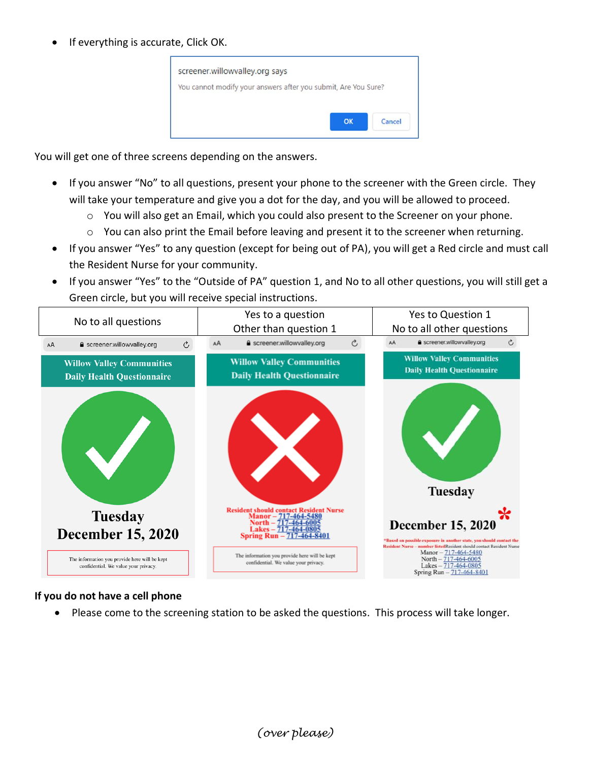If everything is accurate, Click OK.



You will get one of three screens depending on the answers.

- If you answer "No" to all questions, present your phone to the screener with the Green circle. They will take your temperature and give you a dot for the day, and you will be allowed to proceed.
	- o You will also get an Email, which you could also present to the Screener on your phone.
	- $\circ$  You can also print the Email before leaving and present it to the screener when returning.
- If you answer "Yes" to any question (except for being out of PA), you will get a Red circle and must call the Resident Nurse for your community.
- If you answer "Yes" to the "Outside of PA" question 1, and No to all other questions, you will still get a Green circle, but you will receive special instructions.



## **If you do not have a cell phone**

Please come to the screening station to be asked the questions. This process will take longer.